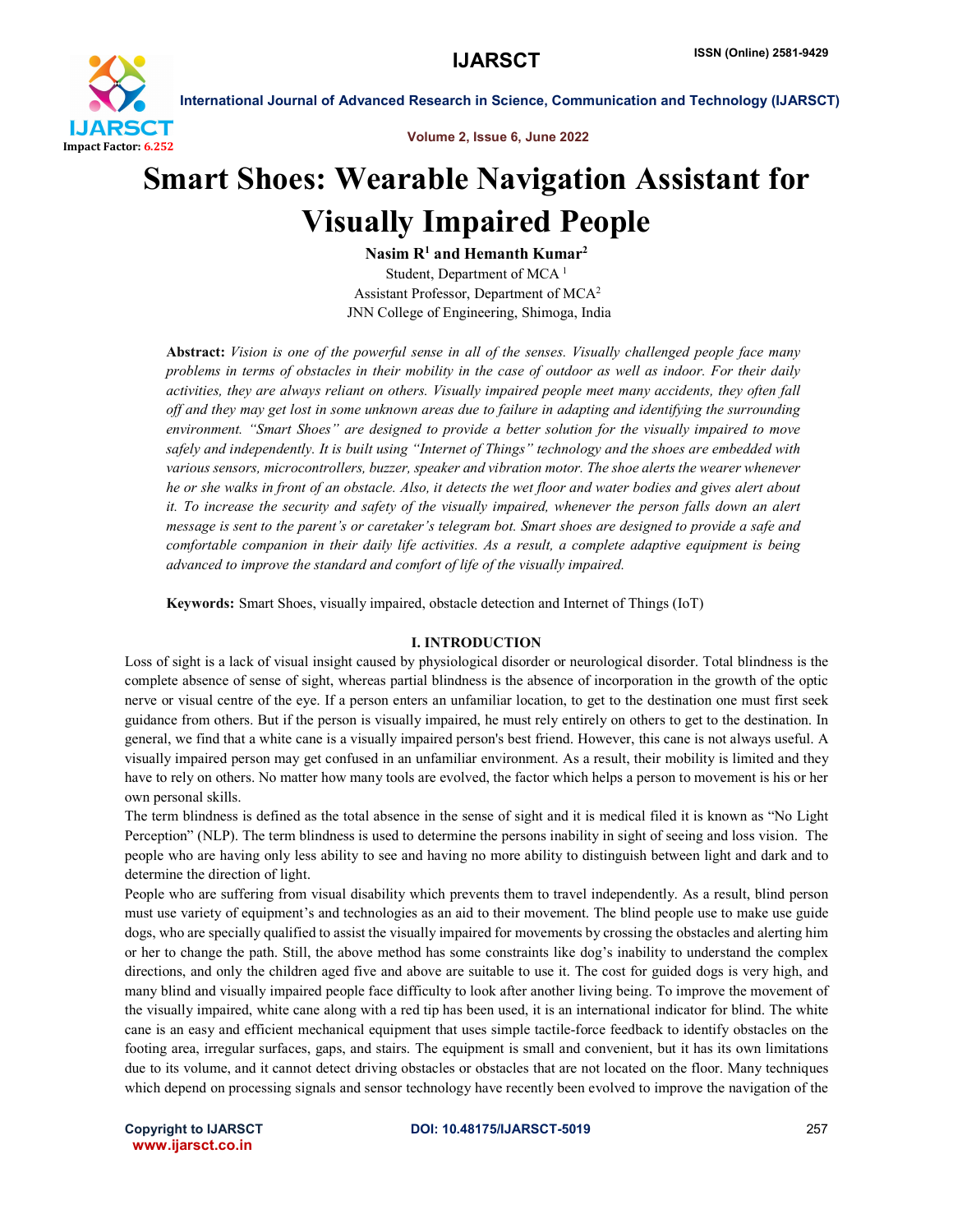

Volume 2, Issue 6, June 2022

# Smart Shoes: Wearable Navigation Assistant for Visually Impaired People

Nasim  $R<sup>1</sup>$  and Hemanth Kumar<sup>2</sup> Student, Department of MCA<sup>1</sup> Assistant Professor, Department of MCA2 JNN College of Engineering, Shimoga, India

Abstract: *Vision is one of the powerful sense in all of the senses. Visually challenged people face many problems in terms of obstacles in their mobility in the case of outdoor as well as indoor. For their daily activities, they are always reliant on others. Visually impaired people meet many accidents, they often fall off and they may get lost in some unknown areas due to failure in adapting and identifying the surrounding environment. "Smart Shoes" are designed to provide a better solution for the visually impaired to move safely and independently. It is built using "Internet of Things" technology and the shoes are embedded with various sensors, microcontrollers, buzzer, speaker and vibration motor. The shoe alerts the wearer whenever he or she walks in front of an obstacle. Also, it detects the wet floor and water bodies and gives alert about it. To increase the security and safety of the visually impaired, whenever the person falls down an alert message is sent to the parent's or caretaker's telegram bot. Smart shoes are designed to provide a safe and comfortable companion in their daily life activities. As a result, a complete adaptive equipment is being advanced to improve the standard and comfort of life of the visually impaired.*

Keywords: Smart Shoes, visually impaired, obstacle detection and Internet of Things (IoT)

# I. INTRODUCTION

Loss of sight is a lack of visual insight caused by physiological disorder or neurological disorder. Total blindness is the complete absence of sense of sight, whereas partial blindness is the absence of incorporation in the growth of the optic nerve or visual centre of the eye. If a person enters an unfamiliar location, to get to the destination one must first seek guidance from others. But if the person is visually impaired, he must rely entirely on others to get to the destination. In general, we find that a white cane is a visually impaired person's best friend. However, this cane is not always useful. A visually impaired person may get confused in an unfamiliar environment. As a result, their mobility is limited and they have to rely on others. No matter how many tools are evolved, the factor which helps a person to movement is his or her own personal skills.

The term blindness is defined as the total absence in the sense of sight and it is medical filed it is known as "No Light Perception" (NLP). The term blindness is used to determine the persons inability in sight of seeing and loss vision. The people who are having only less ability to see and having no more ability to distinguish between light and dark and to determine the direction of light.

People who are suffering from visual disability which prevents them to travel independently. As a result, blind person must use variety of equipment's and technologies as an aid to their movement. The blind people use to make use guide dogs, who are specially qualified to assist the visually impaired for movements by crossing the obstacles and alerting him or her to change the path. Still, the above method has some constraints like dog's inability to understand the complex directions, and only the children aged five and above are suitable to use it. The cost for guided dogs is very high, and many blind and visually impaired people face difficulty to look after another living being. To improve the movement of the visually impaired, white cane along with a red tip has been used, it is an international indicator for blind. The white cane is an easy and efficient mechanical equipment that uses simple tactile-force feedback to identify obstacles on the footing area, irregular surfaces, gaps, and stairs. The equipment is small and convenient, but it has its own limitations due to its volume, and it cannot detect driving obstacles or obstacles that are not located on the floor. Many techniques which depend on processing signals and sensor technology have recently been evolved to improve the navigation of the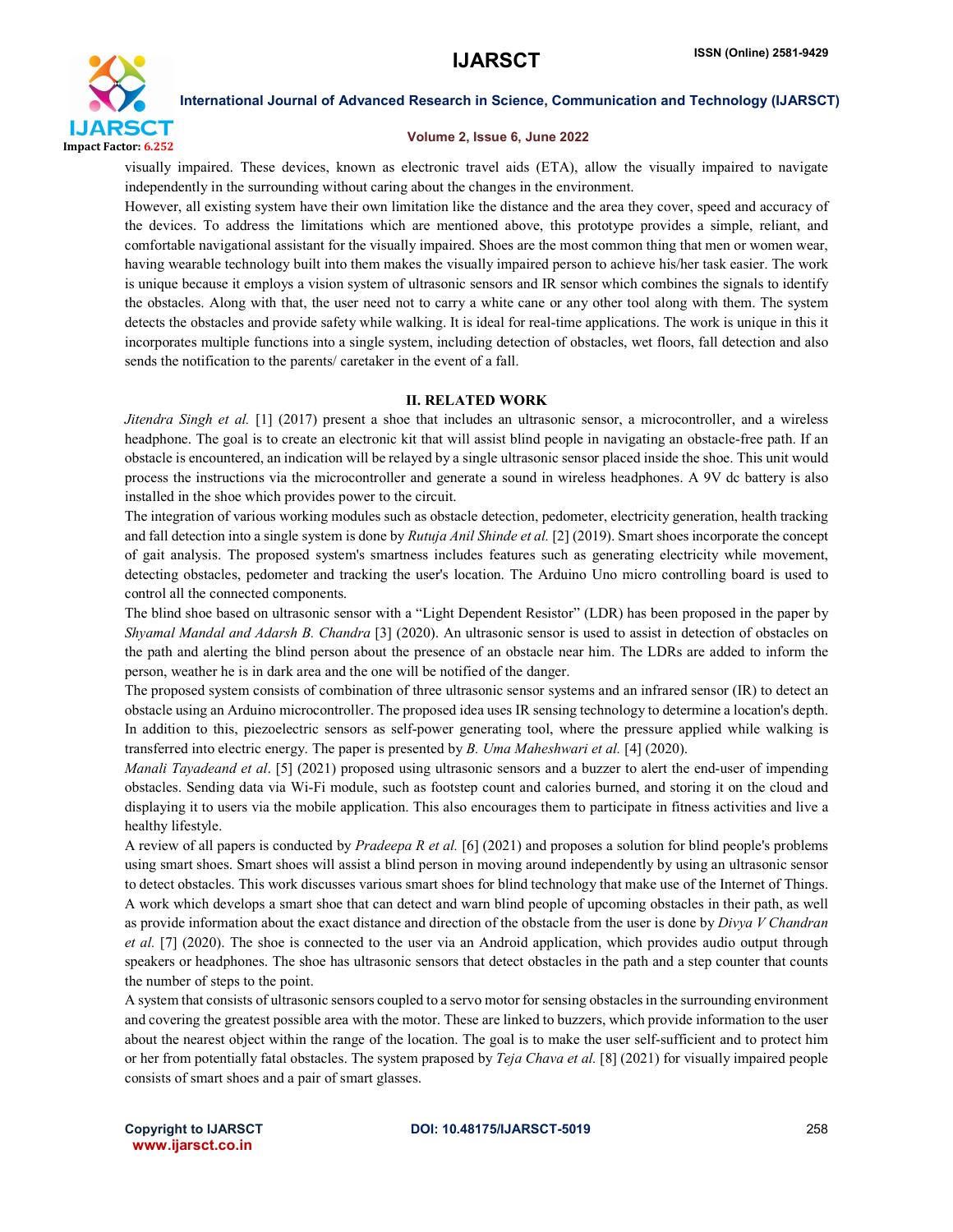

### Volume 2, Issue 6, June 2022

visually impaired. These devices, known as electronic travel aids (ETA), allow the visually impaired to navigate independently in the surrounding without caring about the changes in the environment.

However, all existing system have their own limitation like the distance and the area they cover, speed and accuracy of the devices. To address the limitations which are mentioned above, this prototype provides a simple, reliant, and comfortable navigational assistant for the visually impaired. Shoes are the most common thing that men or women wear, having wearable technology built into them makes the visually impaired person to achieve his/her task easier. The work is unique because it employs a vision system of ultrasonic sensors and IR sensor which combines the signals to identify the obstacles. Along with that, the user need not to carry a white cane or any other tool along with them. The system detects the obstacles and provide safety while walking. It is ideal for real-time applications. The work is unique in this it incorporates multiple functions into a single system, including detection of obstacles, wet floors, fall detection and also sends the notification to the parents/ caretaker in the event of a fall.

# II. RELATED WORK

*Jitendra Singh et al.* [1] (2017) present a shoe that includes an ultrasonic sensor, a microcontroller, and a wireless headphone. The goal is to create an electronic kit that will assist blind people in navigating an obstacle-free path. If an obstacle is encountered, an indication will be relayed by a single ultrasonic sensor placed inside the shoe. This unit would process the instructions via the microcontroller and generate a sound in wireless headphones. A 9V dc battery is also installed in the shoe which provides power to the circuit.

The integration of various working modules such as obstacle detection, pedometer, electricity generation, health tracking and fall detection into a single system is done by *Rutuja Anil Shinde et al.* [2] (2019). Smart shoes incorporate the concept of gait analysis. The proposed system's smartness includes features such as generating electricity while movement, detecting obstacles, pedometer and tracking the user's location. The Arduino Uno micro controlling board is used to control all the connected components.

The blind shoe based on ultrasonic sensor with a "Light Dependent Resistor" (LDR) has been proposed in the paper by *Shyamal Mandal and Adarsh B. Chandra* [3] (2020). An ultrasonic sensor is used to assist in detection of obstacles on the path and alerting the blind person about the presence of an obstacle near him. The LDRs are added to inform the person, weather he is in dark area and the one will be notified of the danger.

The proposed system consists of combination of three ultrasonic sensor systems and an infrared sensor (IR) to detect an obstacle using an Arduino microcontroller. The proposed idea uses IR sensing technology to determine a location's depth. In addition to this, piezoelectric sensors as self-power generating tool, where the pressure applied while walking is transferred into electric energy. The paper is presented by *B. Uma Maheshwari et al.* [4] (2020).

*Manali Tayadeand et al*. [5] (2021) proposed using ultrasonic sensors and a buzzer to alert the end-user of impending obstacles. Sending data via Wi-Fi module, such as footstep count and calories burned, and storing it on the cloud and displaying it to users via the mobile application. This also encourages them to participate in fitness activities and live a healthy lifestyle.

A review of all papers is conducted by *Pradeepa R et al.* [6] (2021) and proposes a solution for blind people's problems using smart shoes. Smart shoes will assist a blind person in moving around independently by using an ultrasonic sensor to detect obstacles. This work discusses various smart shoes for blind technology that make use of the Internet of Things. A work which develops a smart shoe that can detect and warn blind people of upcoming obstacles in their path, as well as provide information about the exact distance and direction of the obstacle from the user is done by *Divya V Chandran et al.* [7] (2020). The shoe is connected to the user via an Android application, which provides audio output through speakers or headphones. The shoe has ultrasonic sensors that detect obstacles in the path and a step counter that counts the number of steps to the point.

A system that consists of ultrasonic sensors coupled to a servo motor for sensing obstacles in the surrounding environment and covering the greatest possible area with the motor. These are linked to buzzers, which provide information to the user about the nearest object within the range of the location. The goal is to make the user self-sufficient and to protect him or her from potentially fatal obstacles. The system praposed by *Teja Chava et al.* [8] (2021) for visually impaired people consists of smart shoes and a pair of smart glasses.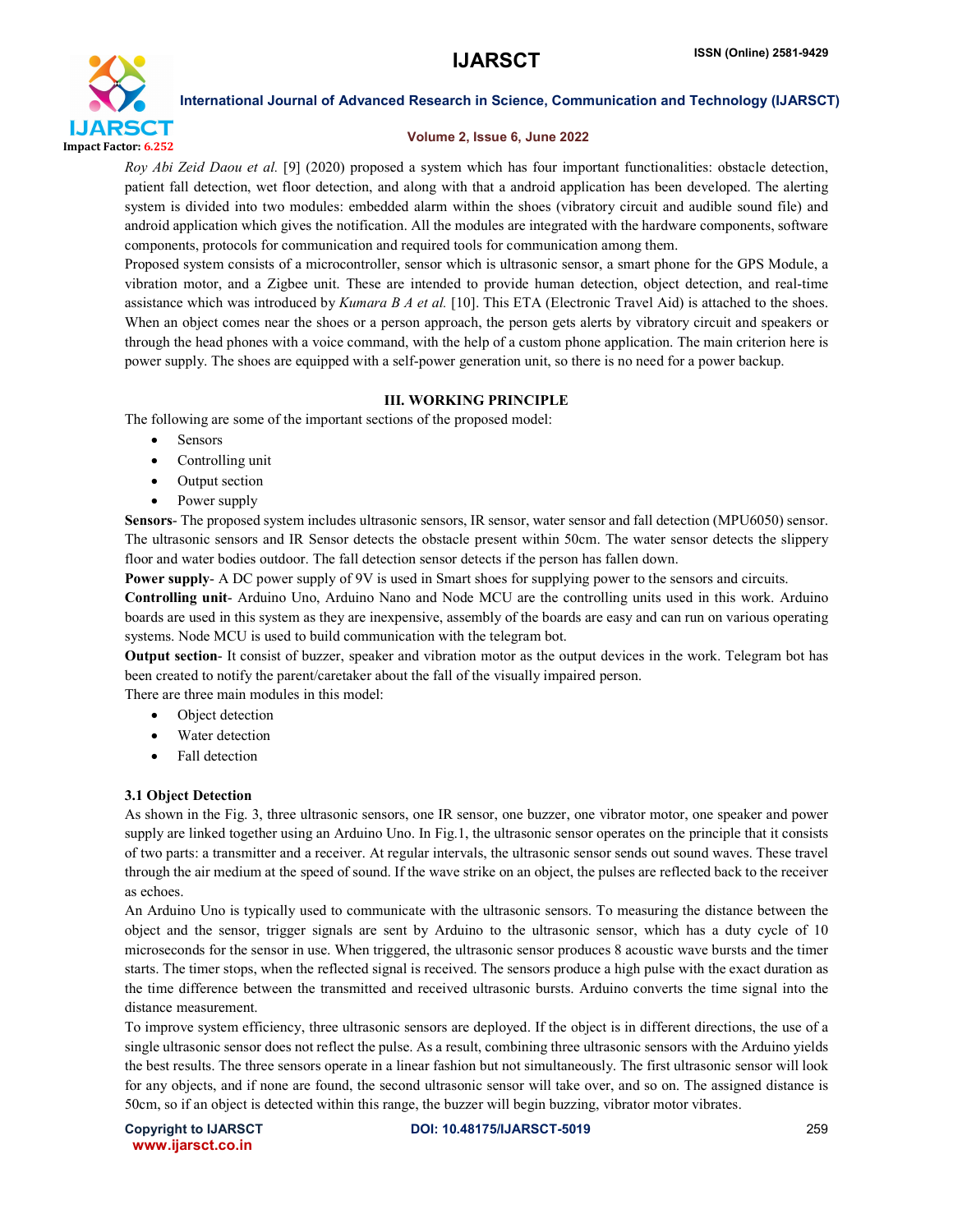

# Volume 2, Issue 6, June 2022

*Roy Abi Zeid Daou et al.* [9] (2020) proposed a system which has four important functionalities: obstacle detection, patient fall detection, wet floor detection, and along with that a android application has been developed. The alerting system is divided into two modules: embedded alarm within the shoes (vibratory circuit and audible sound file) and android application which gives the notification. All the modules are integrated with the hardware components, software components, protocols for communication and required tools for communication among them.

Proposed system consists of a microcontroller, sensor which is ultrasonic sensor, a smart phone for the GPS Module, a vibration motor, and a Zigbee unit. These are intended to provide human detection, object detection, and real-time assistance which was introduced by *Kumara B A et al.* [10]. This ETA (Electronic Travel Aid) is attached to the shoes. When an object comes near the shoes or a person approach, the person gets alerts by vibratory circuit and speakers or through the head phones with a voice command, with the help of a custom phone application. The main criterion here is power supply. The shoes are equipped with a self-power generation unit, so there is no need for a power backup.

# III. WORKING PRINCIPLE

The following are some of the important sections of the proposed model:

- Sensors
- Controlling unit
- Output section
- Power supply

Sensors- The proposed system includes ultrasonic sensors, IR sensor, water sensor and fall detection (MPU6050) sensor. The ultrasonic sensors and IR Sensor detects the obstacle present within 50cm. The water sensor detects the slippery floor and water bodies outdoor. The fall detection sensor detects if the person has fallen down.

Power supply- A DC power supply of 9V is used in Smart shoes for supplying power to the sensors and circuits.

Controlling unit- Arduino Uno, Arduino Nano and Node MCU are the controlling units used in this work. Arduino boards are used in this system as they are inexpensive, assembly of the boards are easy and can run on various operating systems. Node MCU is used to build communication with the telegram bot.

Output section- It consist of buzzer, speaker and vibration motor as the output devices in the work. Telegram bot has been created to notify the parent/caretaker about the fall of the visually impaired person.

There are three main modules in this model:

- Object detection
- Water detection
- Fall detection

# 3.1 Object Detection

As shown in the Fig. 3, three ultrasonic sensors, one IR sensor, one buzzer, one vibrator motor, one speaker and power supply are linked together using an Arduino Uno. In Fig.1, the ultrasonic sensor operates on the principle that it consists of two parts: a transmitter and a receiver. At regular intervals, the ultrasonic sensor sends out sound waves. These travel through the air medium at the speed of sound. If the wave strike on an object, the pulses are reflected back to the receiver as echoes.

An Arduino Uno is typically used to communicate with the ultrasonic sensors. To measuring the distance between the object and the sensor, trigger signals are sent by Arduino to the ultrasonic sensor, which has a duty cycle of 10 microseconds for the sensor in use. When triggered, the ultrasonic sensor produces 8 acoustic wave bursts and the timer starts. The timer stops, when the reflected signal is received. The sensors produce a high pulse with the exact duration as the time difference between the transmitted and received ultrasonic bursts. Arduino converts the time signal into the distance measurement.

To improve system efficiency, three ultrasonic sensors are deployed. If the object is in different directions, the use of a single ultrasonic sensor does not reflect the pulse. As a result, combining three ultrasonic sensors with the Arduino yields the best results. The three sensors operate in a linear fashion but not simultaneously. The first ultrasonic sensor will look for any objects, and if none are found, the second ultrasonic sensor will take over, and so on. The assigned distance is 50cm, so if an object is detected within this range, the buzzer will begin buzzing, vibrator motor vibrates.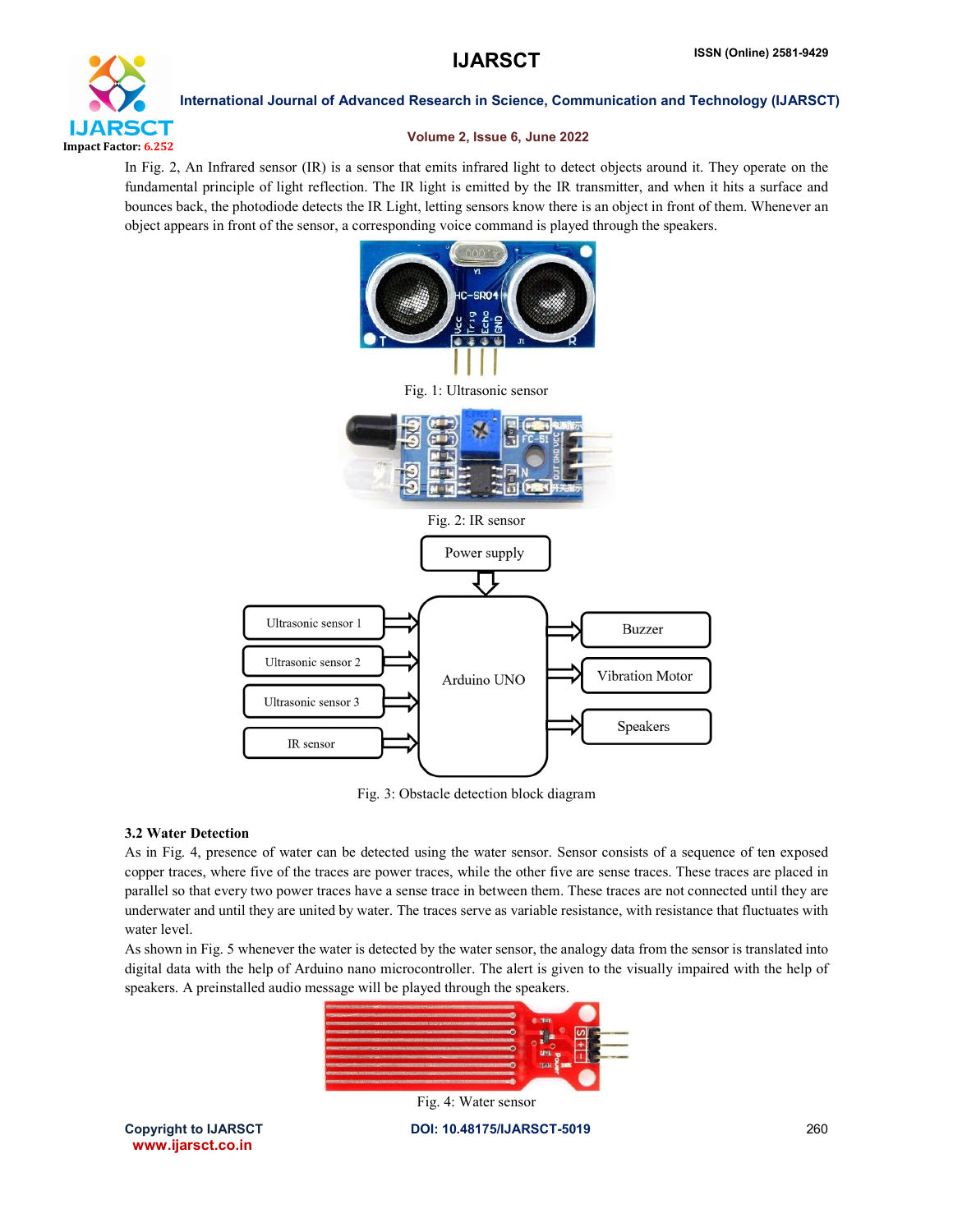

# Volume 2, Issue 6, June 2022

In Fig. 2, An Infrared sensor (IR) is a sensor that emits infrared light to detect objects around it. They operate on the fundamental principle of light reflection. The IR light is emitted by the IR transmitter, and when it hits a surface and bounces back, the photodiode detects the IR Light, letting sensors know there is an object in front of them. Whenever an object appears in front of the sensor, a corresponding voice command is played through the speakers.



Fig. 3: Obstacle detection block diagram

# 3.2 Water Detection

As in Fig. 4, presence of water can be detected using the water sensor. Sensor consists of a sequence of ten exposed copper traces, where five of the traces are power traces, while the other five are sense traces. These traces are placed in parallel so that every two power traces have a sense trace in between them. These traces are not connected until they are underwater and until they are united by water. The traces serve as variable resistance, with resistance that fluctuates with water level.

As shown in Fig. 5 whenever the water is detected by the water sensor, the analogy data from the sensor is translated into digital data with the help of Arduino nano microcontroller. The alert is given to the visually impaired with the help of speakers. A preinstalled audio message will be played through the speakers.



Copyright to IJARSCT **DOI: 10.48175/IJARSCT-5019** 260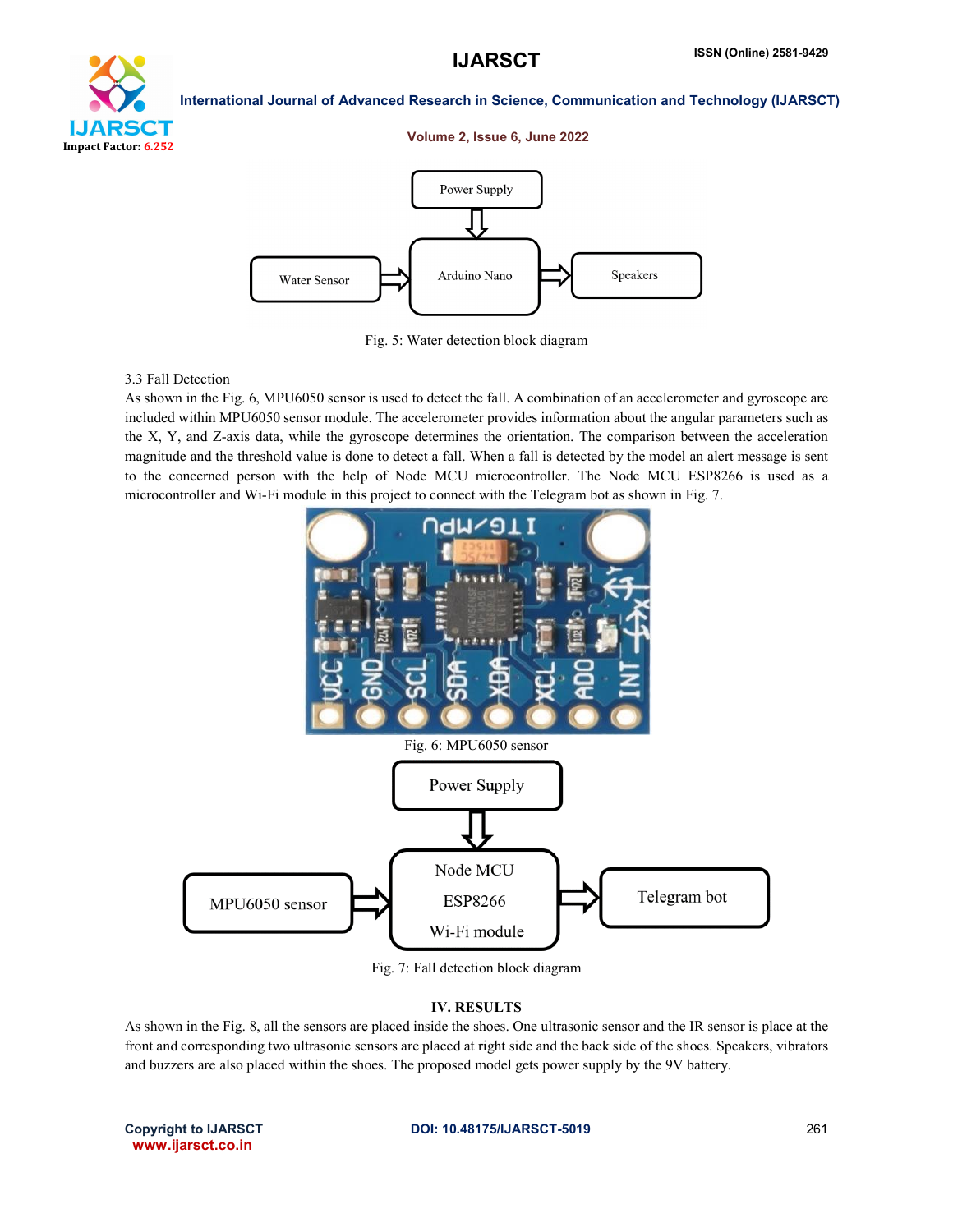

### Volume 2, Issue 6, June 2022



Fig. 5: Water detection block diagram

# 3.3 Fall Detection

As shown in the Fig. 6, MPU6050 sensor is used to detect the fall. A combination of an accelerometer and gyroscope are included within MPU6050 sensor module. The accelerometer provides information about the angular parameters such as the X, Y, and Z-axis data, while the gyroscope determines the orientation. The comparison between the acceleration magnitude and the threshold value is done to detect a fall. When a fall is detected by the model an alert message is sent to the concerned person with the help of Node MCU microcontroller. The Node MCU ESP8266 is used as a microcontroller and Wi-Fi module in this project to connect with the Telegram bot as shown in Fig. 7.



Fig. 7: Fall detection block diagram

## IV. RESULTS

As shown in the Fig. 8, all the sensors are placed inside the shoes. One ultrasonic sensor and the IR sensor is place at the front and corresponding two ultrasonic sensors are placed at right side and the back side of the shoes. Speakers, vibrators and buzzers are also placed within the shoes. The proposed model gets power supply by the 9V battery.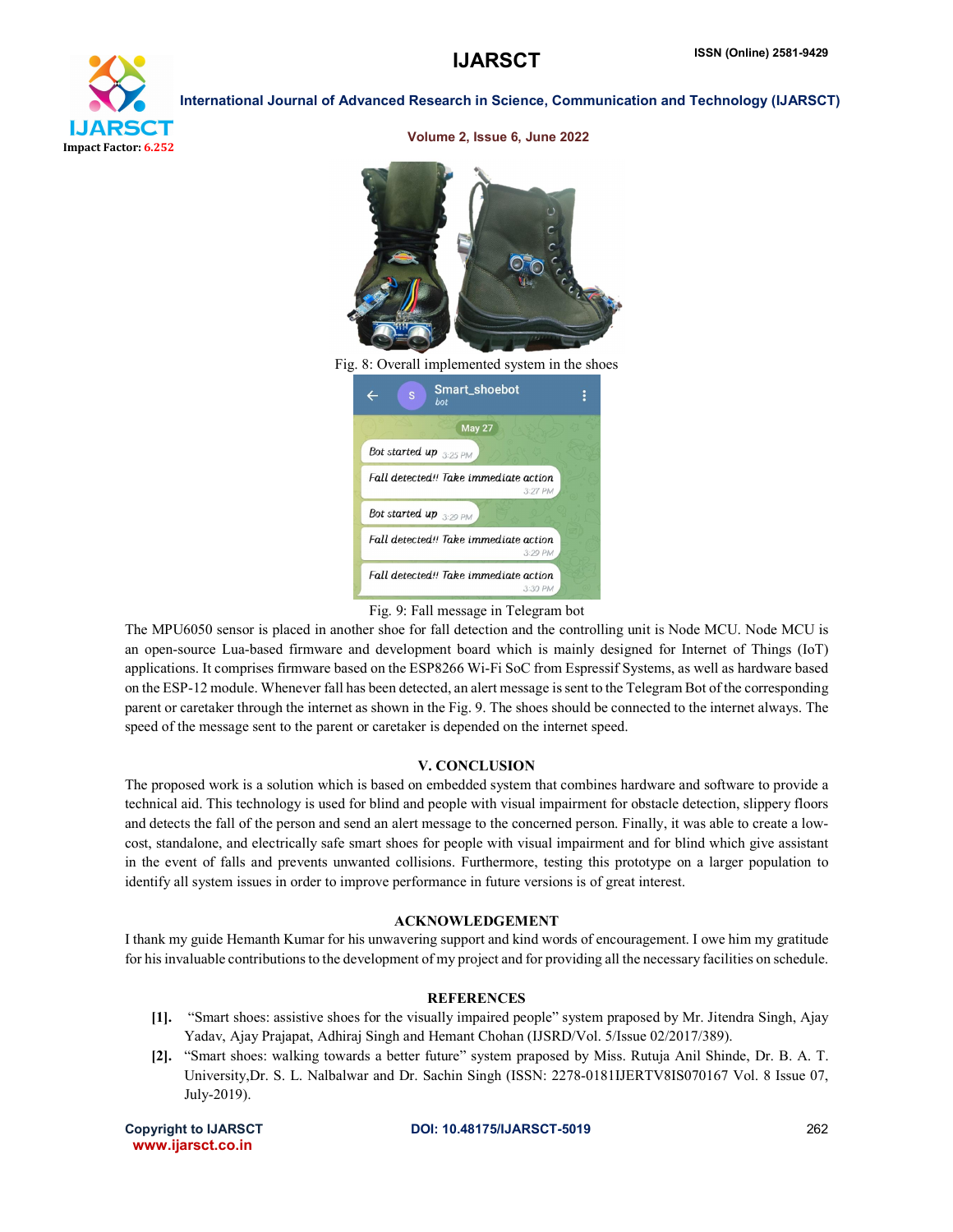

| CENT<br>Fig. 8: Overall implemented system in the shoes |  |
|---------------------------------------------------------|--|
| Smart_shoebot<br>S<br>bot                               |  |
| May 27                                                  |  |
| Bot started up 3:25 PM                                  |  |
| Fall detected!! Take immediate action<br>3:27 PM        |  |
| Bot started up 3:29 PM                                  |  |
| Fall detected!! Take immediate action                   |  |

### Volume 2, Issue 6, June 2022

Fall detected!! Take immediate action

 $3:29$  PM

 $3:30 Pb$ 

The MPU6050 sensor is placed in another shoe for fall detection and the controlling unit is Node MCU. Node MCU is an open-source Lua-based firmware and development board which is mainly designed for Internet of Things (IoT) applications. It comprises firmware based on the ESP8266 Wi-Fi SoC from Espressif Systems, as well as hardware based on the ESP-12 module. Whenever fall has been detected, an alert message is sent to the Telegram Bot of the corresponding parent or caretaker through the internet as shown in the Fig. 9. The shoes should be connected to the internet always. The speed of the message sent to the parent or caretaker is depended on the internet speed.

# V. CONCLUSION

The proposed work is a solution which is based on embedded system that combines hardware and software to provide a technical aid. This technology is used for blind and people with visual impairment for obstacle detection, slippery floors and detects the fall of the person and send an alert message to the concerned person. Finally, it was able to create a lowcost, standalone, and electrically safe smart shoes for people with visual impairment and for blind which give assistant in the event of falls and prevents unwanted collisions. Furthermore, testing this prototype on a larger population to identify all system issues in order to improve performance in future versions is of great interest.

# ACKNOWLEDGEMENT

I thank my guide Hemanth Kumar for his unwavering support and kind words of encouragement. I owe him my gratitude for his invaluable contributions to the development of my project and for providing all the necessary facilities on schedule.

# **REFERENCES**

- [1]. "Smart shoes: assistive shoes for the visually impaired people" system praposed by Mr. Jitendra Singh, Ajay Yadav, Ajay Prajapat, Adhiraj Singh and Hemant Chohan (IJSRD/Vol. 5/Issue 02/2017/389).
- [2]. "Smart shoes: walking towards a better future" system praposed by Miss. Rutuja Anil Shinde, Dr. B. A. T. University,Dr. S. L. Nalbalwar and Dr. Sachin Singh (ISSN: 2278-0181IJERTV8IS070167 Vol. 8 Issue 07, July-2019).

Fig. 9: Fall message in Telegram bot